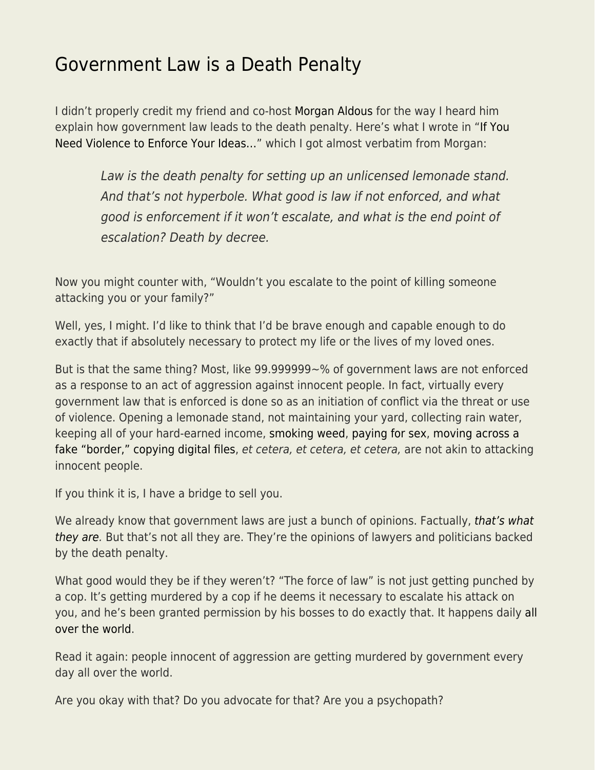## [Government Law is a Death Penalty](https://everything-voluntary.com/government-law-death-penalty)

I didn't properly credit my friend and co-host [Morgan Aldous](https://www.facebook.com/mpaldous?ref=br_rs) for the way I heard him explain how government law leads to the death penalty. Here's what I wrote in ["If You](http://everything-voluntary.com/need-violence-enforce-ideas) [Need Violence to Enforce Your Ideas…](http://everything-voluntary.com/need-violence-enforce-ideas)" which I got almost verbatim from Morgan:

Law is the death penalty for setting up an unlicensed lemonade stand. And that's not hyperbole. What good is law if not enforced, and what good is enforcement if it won't escalate, and what is the end point of escalation? Death by decree.

Now you might counter with, "Wouldn't you escalate to the point of killing someone attacking you or your family?"

Well, yes, I might. I'd like to think that I'd be brave enough and capable enough to do exactly that if absolutely necessary to protect my life or the lives of my loved ones.

But is that the same thing? Most, like 99.999999~% of government laws are not enforced as a response to an act of aggression against innocent people. In fact, virtually every government law that is enforced is done so as an initiation of conflict via the threat or use of violence. Opening a lemonade stand, not maintaining your yard, collecting rain water, keeping all of your hard-earned income, [smoking weed](http://everything-voluntary.com/the-back-story-004-what-you-are-not-being-told-about-the-war-on-drugs-3m), [paying for sex](http://everything-voluntary.com/episode-015-the-prostitute-1h17m), [moving across a](http://everything-voluntary.com/in-praise-of-illegal-immigrants) [fake "border,"](http://everything-voluntary.com/in-praise-of-illegal-immigrants) [copying digital files](http://everything-voluntary.com/editors-break-024-intellectual-property-piracy-theft-11m), et cetera, et cetera, et cetera, are not akin to attacking innocent people.

If you think it is, I have a bridge to sell you.

We already know that government laws are just a bunch of opinions. Factually, [that's what](http://everything-voluntary.com/the-facts-on-government) [they are.](http://everything-voluntary.com/the-facts-on-government) But that's not all they are. They're the opinions of lawyers and politicians backed by the death penalty.

What good would they be if they weren't? "The force of law" is not just getting punched by a cop. It's getting murdered by a cop if he deems it necessary to escalate his attack on you, and he's been granted permission by his bosses to do exactly that. It happens daily [all](http://thefreethoughtproject.com/category/cop-watch/) [over the world](http://thefreethoughtproject.com/category/cop-watch/).

Read it again: people innocent of aggression are getting murdered by government every day all over the world.

Are you okay with that? Do you advocate for that? Are you a psychopath?